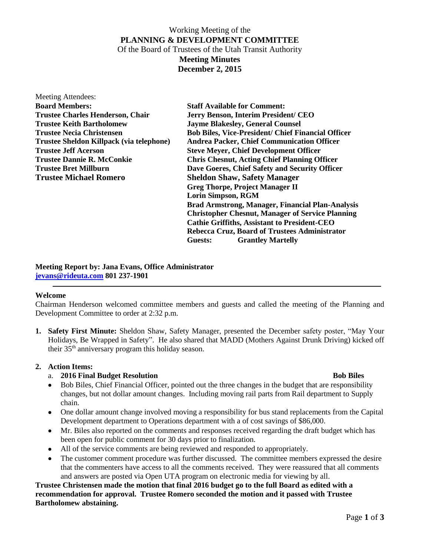# Working Meeting of the **PLANNING & DEVELOPMENT COMMITTEE** Of the Board of Trustees of the Utah Transit Authority **Meeting Minutes December 2, 2015**

| Meeting Attendees:                       |                                                           |  |
|------------------------------------------|-----------------------------------------------------------|--|
| <b>Board Members:</b>                    | <b>Staff Available for Comment:</b>                       |  |
| <b>Trustee Charles Henderson, Chair</b>  | Jerry Benson, Interim President/ CEO                      |  |
| <b>Trustee Keith Bartholomew</b>         | <b>Jayme Blakesley, General Counsel</b>                   |  |
| <b>Trustee Necia Christensen</b>         | <b>Bob Biles, Vice-President/ Chief Financial Officer</b> |  |
| Trustee Sheldon Killpack (via telephone) | <b>Andrea Packer, Chief Communication Officer</b>         |  |
| <b>Trustee Jeff Acerson</b>              | <b>Steve Meyer, Chief Development Officer</b>             |  |
| <b>Trustee Dannie R. McConkie</b>        | <b>Chris Chesnut, Acting Chief Planning Officer</b>       |  |
| <b>Trustee Bret Millburn</b>             | Dave Goeres, Chief Safety and Security Officer            |  |
| <b>Trustee Michael Romero</b>            | <b>Sheldon Shaw, Safety Manager</b>                       |  |
|                                          | <b>Greg Thorpe, Project Manager II</b>                    |  |
|                                          | <b>Lorin Simpson, RGM</b>                                 |  |
|                                          | <b>Brad Armstrong, Manager, Financial Plan-Analysis</b>   |  |
|                                          | <b>Christopher Chesnut, Manager of Service Planning</b>   |  |
|                                          | <b>Cathie Griffiths, Assistant to President-CEO</b>       |  |
|                                          | Rebecca Cruz, Board of Trustees Administrator             |  |
|                                          | <b>Grantley Martelly</b><br>Guests:                       |  |

#### **Meeting Report by: Jana Evans, Office Administrator [jevans@rideuta.com](mailto:jevans@rideuta.com) 801 237-1901**

#### **Welcome**

Chairman Henderson welcomed committee members and guests and called the meeting of the Planning and Development Committee to order at 2:32 p.m.

**1. Safety First Minute:** Sheldon Shaw, Safety Manager, presented the December safety poster, "May Your Holidays, Be Wrapped in Safety". He also shared that MADD (Mothers Against Drunk Driving) kicked off their 35th anniversary program this holiday season.

## **2. Action Items:**

## a. **2016 Final Budget Resolution Bob Biles**

- Bob Biles, Chief Financial Officer, pointed out the three changes in the budget that are responsibility changes, but not dollar amount changes. Including moving rail parts from Rail department to Supply chain.
- One dollar amount change involved moving a responsibility for bus stand replacements from the Capital Development department to Operations department with a of cost savings of \$86,000.
- Mr. Biles also reported on the comments and responses received regarding the draft budget which has been open for public comment for 30 days prior to finalization.
- All of the service comments are being reviewed and responded to appropriately.
- The customer comment procedure was further discussed. The committee members expressed the desire that the commenters have access to all the comments received. They were reassured that all comments and answers are posted via Open UTA program on electronic media for viewing by all.

## **Trustee Christensen made the motion that final 2016 budget go to the full Board as edited with a recommendation for approval. Trustee Romero seconded the motion and it passed with Trustee Bartholomew abstaining.**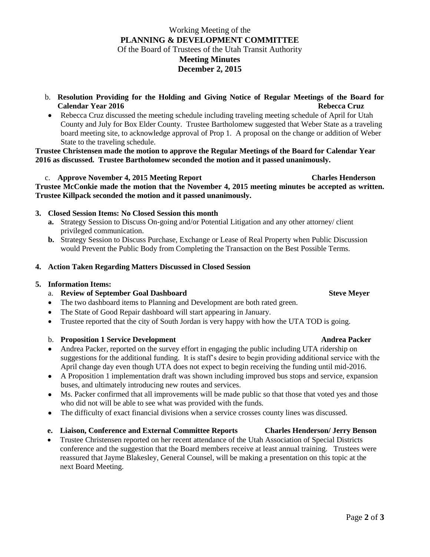# Working Meeting of the **PLANNING & DEVELOPMENT COMMITTEE** Of the Board of Trustees of the Utah Transit Authority **Meeting Minutes December 2, 2015**

- b. **Resolution Providing for the Holding and Giving Notice of Regular Meetings of the Board for Calendar Year 2016 Rebecca Cruz**
- Rebecca Cruz discussed the meeting schedule including traveling meeting schedule of April for Utah County and July for Box Elder County. Trustee Bartholomew suggested that Weber State as a traveling board meeting site, to acknowledge approval of Prop 1. A proposal on the change or addition of Weber State to the traveling schedule.

**Trustee Christensen made the motion to approve the Regular Meetings of the Board for Calendar Year 2016 as discussed. Trustee Bartholomew seconded the motion and it passed unanimously.**

## c. **Approve November 4, 2015 Meeting Report Charles Henderson**

**Trustee McConkie made the motion that the November 4, 2015 meeting minutes be accepted as written. Trustee Killpack seconded the motion and it passed unanimously.**

## **3. Closed Session Items: No Closed Session this month**

- **a.** Strategy Session to Discuss On-going and/or Potential Litigation and any other attorney/ client privileged communication.
- **b.** Strategy Session to Discuss Purchase, Exchange or Lease of Real Property when Public Discussion would Prevent the Public Body from Completing the Transaction on the Best Possible Terms.

## **4. Action Taken Regarding Matters Discussed in Closed Session**

## **5. Information Items:**

## a. **Review of September Goal Dashboard Steve Meyer** Steve Meyer

- The two dashboard items to Planning and Development are both rated green.
- The State of Good Repair dashboard will start appearing in January.
- Trustee reported that the city of South Jordan is very happy with how the UTA TOD is going.

## b. **Proposition 1 Service Development Andrea Packer Andrea Packer**

- Andrea Packer, reported on the survey effort in engaging the public including UTA ridership on suggestions for the additional funding. It is staff's desire to begin providing additional service with the April change day even though UTA does not expect to begin receiving the funding until mid-2016.
- A Proposition 1 implementation draft was shown including improved bus stops and service, expansion buses, and ultimately introducing new routes and services.
- Ms. Packer confirmed that all improvements will be made public so that those that voted yes and those who did not will be able to see what was provided with the funds.
- The difficulty of exact financial divisions when a service crosses county lines was discussed.
- **e. Liaison, Conference and External Committee Reports Charles Henderson/ Jerry Benson**
- Trustee Christensen reported on her recent attendance of the Utah Association of Special Districts conference and the suggestion that the Board members receive at least annual training. Trustees were reassured that Jayme Blakesley, General Counsel, will be making a presentation on this topic at the next Board Meeting.